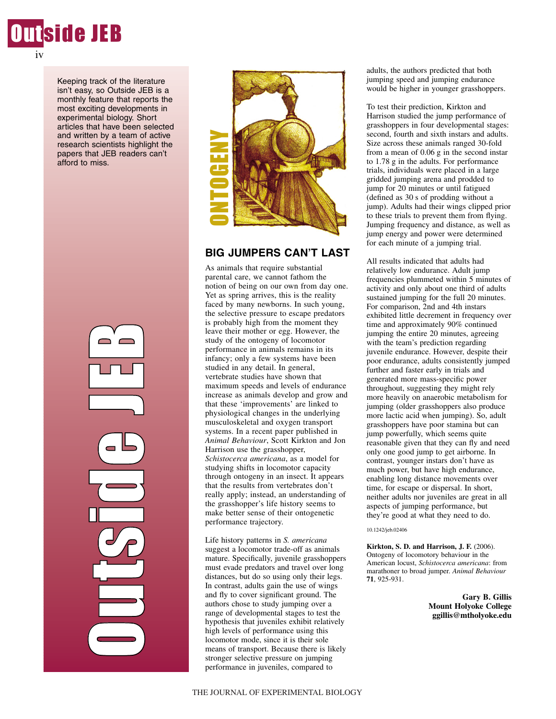

Keeping track of the literature isn't easy, so Outside JEB is a monthly feature that reports the most exciting developments in experimental biology. Short articles that have been selected and written by a team of active research scientists highlight the papers that JEB readers can't afford to miss.

> O**urang para** t $\mathcal{C}_{\mathcal{P}}$ in 1999<br>September 1999<br>September 1999 d<br>U e J **Punu** P)



## **BIG JUMPERS CAN'T LAST**

As animals that require substantial parental care, we cannot fathom the notion of being on our own from day one. Yet as spring arrives, this is the reality faced by many newborns. In such young, the selective pressure to escape predators is probably high from the moment they leave their mother or egg. However, the study of the ontogeny of locomotor performance in animals remains in its infancy; only a few systems have been studied in any detail. In general, vertebrate studies have shown that maximum speeds and levels of endurance increase as animals develop and grow and that these 'improvements' are linked to physiological changes in the underlying musculoskeletal and oxygen transport systems. In a recent paper published in *Animal Behaviour*, Scott Kirkton and Jon Harrison use the grasshopper, *Schistocerca americana*, as a model for studying shifts in locomotor capacity through ontogeny in an insect. It appears that the results from vertebrates don't really apply; instead, an understanding of the grasshopper's life history seems to make better sense of their ontogenetic performance trajectory.

Life history patterns in *S. americana* suggest a locomotor trade-off as animals mature. Specifically, juvenile grasshoppers must evade predators and travel over long distances, but do so using only their legs. In contrast, adults gain the use of wings and fly to cover significant ground. The authors chose to study jumping over a range of developmental stages to test the hypothesis that juveniles exhibit relatively high levels of performance using this locomotor mode, since it is their sole means of transport. Because there is likely stronger selective pressure on jumping performance in juveniles, compared to

adults, the authors predicted that both jumping speed and jumping endurance would be higher in younger grasshoppers.

To test their prediction, Kirkton and Harrison studied the jump performance of grasshoppers in four developmental stages: second, fourth and sixth instars and adults. Size across these animals ranged 30-fold from a mean of  $0.06$  g in the second instar to  $1.78$  g in the adults. For performance trials, individuals were placed in a large gridded jumping arena and prodded to jump for 20 minutes or until fatigued (defined as 30 s of prodding without a jump). Adults had their wings clipped prior to these trials to prevent them from flying. Jumping frequency and distance, as well as jump energy and power were determined for each minute of a jumping trial.

All results indicated that adults had relatively low endurance. Adult jump frequencies plummeted within 5 minutes of activity and only about one third of adults sustained jumping for the full 20 minutes. For comparison, 2nd and 4th instars exhibited little decrement in frequency over time and approximately 90% continued jumping the entire 20 minutes, agreeing with the team's prediction regarding juvenile endurance. However, despite their poor endurance, adults consistently jumped further and faster early in trials and generated more mass-specific power throughout, suggesting they might rely more heavily on anaerobic metabolism for jumping (older grasshoppers also produce more lactic acid when jumping). So, adult grasshoppers have poor stamina but can jump powerfully, which seems quite reasonable given that they can fly and need only one good jump to get airborne. In contrast, younger instars don't have as much power, but have high endurance, enabling long distance movements over time, for escape or dispersal. In short, neither adults nor juveniles are great in all aspects of jumping performance, but they're good at what they need to do.

### 10.1242/jeb.02406

**Kirkton, S. D. and Harrison, J. F.** (2006). Ontogeny of locomotory behaviour in the American locust, *Schistocerca americana*: from marathoner to broad jumper. *Animal Behaviour* **71**, 925-931.

> **Gary B. Gillis Mount Holyoke College ggillis@mtholyoke.edu**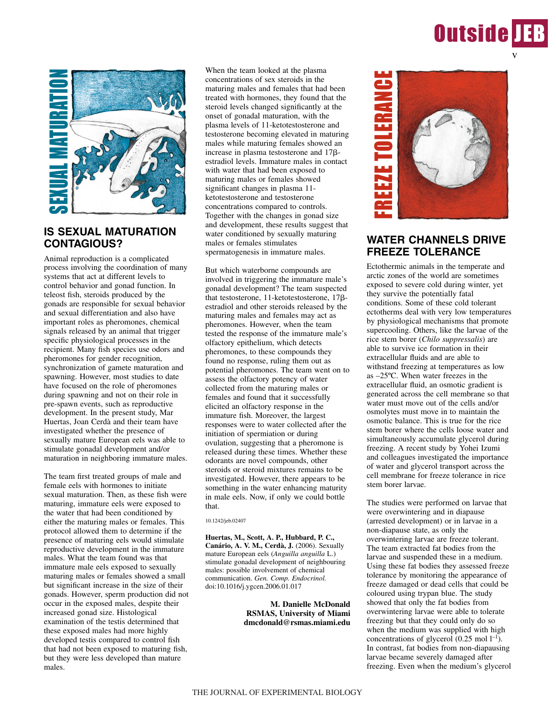



# **IS SEXUAL MATURATION CONTAGIOUS?**

Animal reproduction is a complicated process involving the coordination of many systems that act at different levels to control behavior and gonad function. In teleost fish, steroids produced by the gonads are responsible for sexual behavior and sexual differentiation and also have important roles as pheromones, chemical signals released by an animal that trigger specific physiological processes in the recipient. Many fish species use odors and pheromones for gender recognition, synchronization of gamete maturation and spawning. However, most studies to date have focused on the role of pheromones during spawning and not on their role in pre-spawn events, such as reproductive development. In the present study, Mar Huertas, Joan Cerdà and their team have investigated whether the presence of sexually mature European eels was able to stimulate gonadal development and/or maturation in neighboring immature males.

The team first treated groups of male and female eels with hormones to initiate sexual maturation. Then, as these fish were maturing, immature eels were exposed to the water that had been conditioned by either the maturing males or females. This protocol allowed them to determine if the presence of maturing eels would stimulate reproductive development in the immature males. What the team found was that immature male eels exposed to sexually maturing males or females showed a small but significant increase in the size of their gonads. However, sperm production did not occur in the exposed males, despite their increased gonad size. Histological examination of the testis determined that these exposed males had more highly developed testis compared to control fish that had not been exposed to maturing fish, but they were less developed than mature males.

When the team looked at the plasma concentrations of sex steroids in the maturing males and females that had been treated with hormones, they found that the steroid levels changed significantly at the onset of gonadal maturation, with the plasma levels of 11-ketotestosterone and testosterone becoming elevated in maturing males while maturing females showed an increase in plasma testosterone and  $17\beta$ estradiol levels. Immature males in contact with water that had been exposed to maturing males or females showed significant changes in plasma 11 ketotestosterone and testosterone concentrations compared to controls. Together with the changes in gonad size and development, these results suggest that water conditioned by sexually maturing males or females stimulates spermatogenesis in immature males.

But which waterborne compounds are involved in triggering the immature male's gonadal development? The team suspected that testosterone, 11-ketotestosterone, 17βestradiol and other steroids released by the maturing males and females may act as pheromones. However, when the team tested the response of the immature male's olfactory epithelium, which detects pheromones, to these compounds they found no response, ruling them out as potential pheromones. The team went on to assess the olfactory potency of water collected from the maturing males or females and found that it successfully elicited an olfactory response in the immature fish. Moreover, the largest responses were to water collected after the initiation of spermiation or during ovulation, suggesting that a pheromone is released during these times. Whether these odorants are novel compounds, other steroids or steroid mixtures remains to be investigated. However, there appears to be something in the water enhancing maturity in male eels. Now, if only we could bottle that.

10.1242/jeb.02407

**Huertas, M., Scott, A. P., Hubbard, P. C., Canário, A. V. M., Cerdà, J.** (2006). Sexually mature European eels (*Anguilla anguilla* L.) stimulate gonadal development of neighbouring males: possible involvement of chemical communication. *Gen. Comp. Endocrinol.* doi:10.1016/j.ygcen.2006.01.017

> **M. Danielle McDonald RSMAS, University of Miami dmcdonald@rsmas.miami.edu**



## **WATER CHANNELS DRIVE FREEZE TOLERANCE**

Ectothermic animals in the temperate and arctic zones of the world are sometimes exposed to severe cold during winter, yet they survive the potentially fatal conditions. Some of these cold tolerant ectotherms deal with very low temperatures by physiological mechanisms that promote supercooling. Others, like the larvae of the rice stem borer (*Chilo suppressalis*) are able to survive ice formation in their extracellular fluids and are able to withstand freezing at temperatures as low as –25ºC. When water freezes in the extracellular fluid, an osmotic gradient is generated across the cell membrane so that water must move out of the cells and/or osmolytes must move in to maintain the osmotic balance. This is true for the rice stem borer where the cells loose water and simultaneously accumulate glycerol during freezing. A recent study by Yohei Izumi and colleagues investigated the importance of water and glycerol transport across the cell membrane for freeze tolerance in rice stem borer larvae.

The studies were performed on larvae that were overwintering and in diapause (arrested development) or in larvae in a non-diapause state, as only the overwintering larvae are freeze tolerant. The team extracted fat bodies from the larvae and suspended these in a medium. Using these fat bodies they assessed freeze tolerance by monitoring the appearance of freeze damaged or dead cells that could be coloured using trypan blue. The study showed that only the fat bodies from overwintering larvae were able to tolerate freezing but that they could only do so when the medium was supplied with high concentrations of glycerol (0.25 mol  $l^{-1}$ ). In contrast, fat bodies from non-diapausing larvae became severely damaged after freezing. Even when the medium's glycerol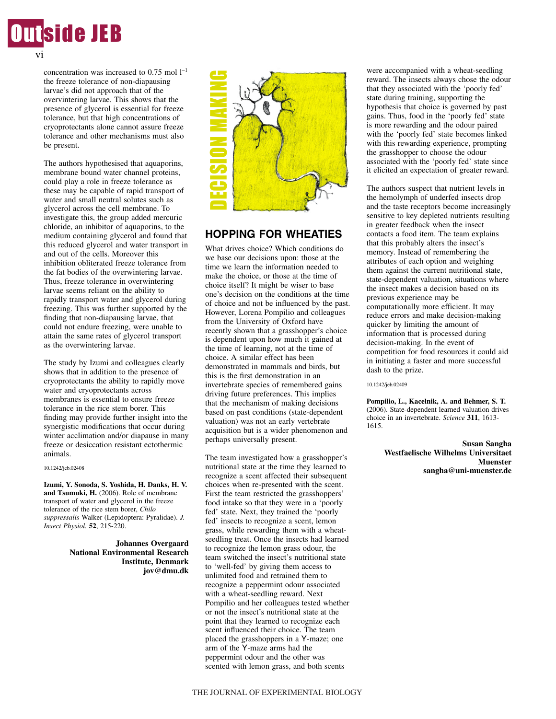

concentration was increased to  $0.75$  mol  $1^{-1}$ the freeze tolerance of non-diapausing larvae's did not approach that of the overvintering larvae. This shows that the presence of glycerol is essential for freeze tolerance, but that high concentrations of cryoprotectants alone cannot assure freeze tolerance and other mechanisms must also be present.

The authors hypothesised that aquaporins, membrane bound water channel proteins, could play a role in freeze tolerance as these may be capable of rapid transport of water and small neutral solutes such as glycerol across the cell membrane. To investigate this, the group added mercuric chloride, an inhibitor of aquaporins, to the medium containing glycerol and found that this reduced glycerol and water transport in and out of the cells. Moreover this inhibition obliterated freeze tolerance from the fat bodies of the overwintering larvae. Thus, freeze tolerance in overwintering larvae seems reliant on the ability to rapidly transport water and glycerol during freezing. This was further supported by the finding that non-diapausing larvae, that could not endure freezing, were unable to attain the same rates of glycerol transport as the overwintering larvae.

The study by Izumi and colleagues clearly shows that in addition to the presence of cryoprotectants the ability to rapidly move water and cryoprotectants across membranes is essential to ensure freeze tolerance in the rice stem borer. This finding may provide further insight into the synergistic modifications that occur during winter acclimation and/or diapause in many freeze or desiccation resistant ectothermic animals.

#### 10.1242/jeb.02408

**Izumi, Y. Sonoda, S. Yoshida, H. Danks, H. V. and Tsumuki, H.** (2006). Role of membrane transport of water and glycerol in the freeze tolerance of the rice stem borer, *Chilo suppressalis* Walker (Lepidoptera: Pyralidae). *J. Insect Physiol.* **52**, 215-220.

> **Johannes Overgaard National Environmental Research Institute, Denmark jov@dmu.dk**



## **HOPPING FOR WHEATIES**

What drives choice? Which conditions do we base our decisions upon: those at the time we learn the information needed to make the choice, or those at the time of choice itself? It might be wiser to base one's decision on the conditions at the time of choice and not be influenced by the past. However, Lorena Pompilio and colleagues from the University of Oxford have recently shown that a grasshopper's choice is dependent upon how much it gained at the time of learning, not at the time of choice. A similar effect has been demonstrated in mammals and birds, but this is the first demonstration in an invertebrate species of remembered gains driving future preferences. This implies that the mechanism of making decisions based on past conditions (state-dependent valuation) was not an early vertebrate acquisition but is a wider phenomenon and perhaps universally present.

The team investigated how a grasshopper's nutritional state at the time they learned to recognize a scent affected their subsequent choices when re-presented with the scent. First the team restricted the grasshoppers' food intake so that they were in a 'poorly fed' state. Next, they trained the 'poorly fed' insects to recognize a scent, lemon grass, while rewarding them with a wheatseedling treat. Once the insects had learned to recognize the lemon grass odour, the team switched the insect's nutritional state to 'well-fed' by giving them access to unlimited food and retrained them to recognize a peppermint odour associated with a wheat-seedling reward. Next Pompilio and her colleagues tested whether or not the insect's nutritional state at the point that they learned to recognize each scent influenced their choice. The team placed the grasshoppers in a Y-maze; one arm of the Y-maze arms had the peppermint odour and the other was scented with lemon grass, and both scents

were accompanied with a wheat-seedling reward. The insects always chose the odour that they associated with the 'poorly fed' state during training, supporting the hypothesis that choice is governed by past gains. Thus, food in the 'poorly fed' state is more rewarding and the odour paired with the 'poorly fed' state becomes linked with this rewarding experience, prompting the grasshopper to choose the odour associated with the 'poorly fed' state since it elicited an expectation of greater reward.

The authors suspect that nutrient levels in the hemolymph of underfed insects drop and the taste receptors become increasingly sensitive to key depleted nutrients resulting in greater feedback when the insect contacts a food item. The team explains that this probably alters the insect's memory. Instead of remembering the attributes of each option and weighing them against the current nutritional state, state-dependent valuation, situations where the insect makes a decision based on its previous experience may be computationally more efficient. It may reduce errors and make decision-making quicker by limiting the amount of information that is processed during decision-making. In the event of competition for food resources it could aid in initiating a faster and more successful dash to the prize.

#### 10.1242/jeb.02409

**Pompilio, L., Kacelnik, A. and Behmer, S. T.** (2006). State-dependent learned valuation drives choice in an invertebrate. *Science* **311**, 1613- 1615.

> **Susan Sangha Westfaelische Wilhelms Universitaet Muenster sangha@uni-muenster.de**